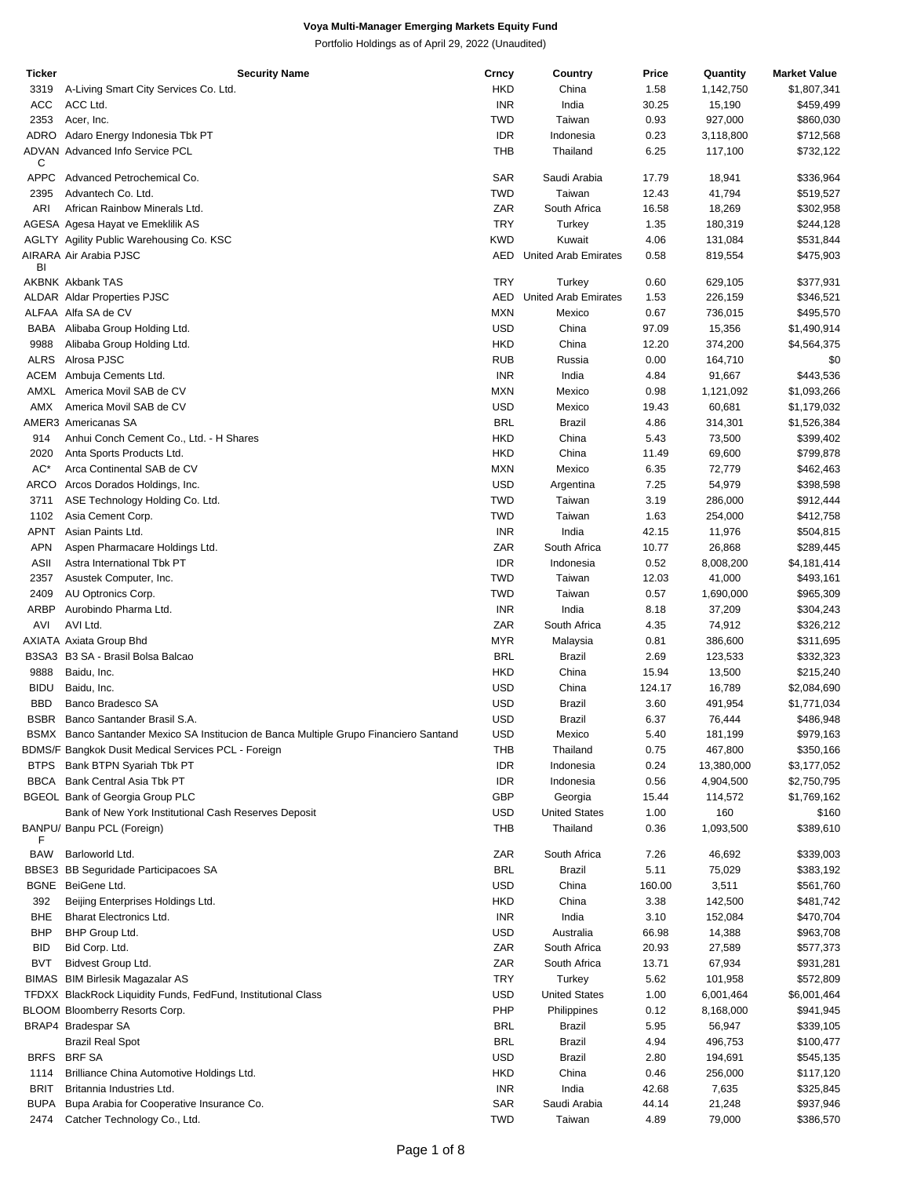| Ticker      | <b>Security Name</b>                                                                  | Crncy      | Country                     | Price  | Quantity   | <b>Market Value</b> |
|-------------|---------------------------------------------------------------------------------------|------------|-----------------------------|--------|------------|---------------------|
| 3319        | A-Living Smart City Services Co. Ltd.                                                 | <b>HKD</b> | China                       | 1.58   | 1,142,750  | \$1,807,341         |
| ACC         | ACC Ltd.                                                                              | <b>INR</b> | India                       | 30.25  | 15,190     | \$459,499           |
| 2353        | Acer, Inc.                                                                            | <b>TWD</b> | Taiwan                      | 0.93   | 927,000    | \$860,030           |
| ADRO        | Adaro Energy Indonesia Tbk PT                                                         | <b>IDR</b> | Indonesia                   | 0.23   | 3,118,800  | \$712,568           |
|             | <b>ADVAN Advanced Info Service PCL</b>                                                | <b>THB</b> | Thailand                    | 6.25   | 117,100    | \$732,122           |
| С           |                                                                                       |            |                             |        |            |                     |
| <b>APPC</b> | Advanced Petrochemical Co.                                                            | SAR        | Saudi Arabia                | 17.79  | 18,941     | \$336,964           |
| 2395        | Advantech Co. Ltd.                                                                    | <b>TWD</b> | Taiwan                      | 12.43  | 41,794     | \$519,527           |
| ARI         | African Rainbow Minerals Ltd.                                                         | ZAR        | South Africa                | 16.58  | 18,269     | \$302,958           |
|             |                                                                                       | <b>TRY</b> | Turkey                      | 1.35   | 180,319    |                     |
|             | AGESA Agesa Hayat ve Emeklilik AS                                                     |            |                             |        |            | \$244,128           |
|             | AGLTY Agility Public Warehousing Co. KSC                                              | <b>KWD</b> | Kuwait                      | 4.06   | 131,084    | \$531,844           |
| BI          | AIRARA Air Arabia PJSC                                                                | AED        | <b>United Arab Emirates</b> | 0.58   | 819,554    | \$475,903           |
|             | <b>AKBNK Akbank TAS</b>                                                               | <b>TRY</b> | Turkey                      | 0.60   | 629,105    | \$377,931           |
|             |                                                                                       | AED        |                             |        |            |                     |
|             | <b>ALDAR Aldar Properties PJSC</b>                                                    |            | <b>United Arab Emirates</b> | 1.53   | 226,159    | \$346,521           |
|             | ALFAA Alfa SA de CV                                                                   | <b>MXN</b> | Mexico                      | 0.67   | 736,015    | \$495,570           |
|             | BABA Alibaba Group Holding Ltd.                                                       | <b>USD</b> | China                       | 97.09  | 15,356     | \$1,490,914         |
| 9988        | Alibaba Group Holding Ltd.                                                            | <b>HKD</b> | China                       | 12.20  | 374,200    | \$4,564,375         |
| <b>ALRS</b> | Alrosa PJSC                                                                           | <b>RUB</b> | Russia                      | 0.00   | 164,710    | \$0                 |
|             | ACEM Ambuja Cements Ltd.                                                              | <b>INR</b> | India                       | 4.84   | 91,667     | \$443,536           |
|             | AMXL America Movil SAB de CV                                                          | <b>MXN</b> | Mexico                      | 0.98   | 1,121,092  | \$1,093,266         |
| AMX         | America Movil SAB de CV                                                               | <b>USD</b> | Mexico                      | 19.43  | 60,681     | \$1,179,032         |
|             | AMER3 Americanas SA                                                                   | <b>BRL</b> | Brazil                      | 4.86   | 314,301    | \$1,526,384         |
| 914         | Anhui Conch Cement Co., Ltd. - H Shares                                               | <b>HKD</b> | China                       | 5.43   | 73,500     | \$399,402           |
|             |                                                                                       |            |                             |        |            |                     |
| 2020        | Anta Sports Products Ltd.                                                             | <b>HKD</b> | China                       | 11.49  | 69,600     | \$799,878           |
| AC*         | Arca Continental SAB de CV                                                            | <b>MXN</b> | Mexico                      | 6.35   | 72,779     | \$462,463           |
| ARCO        | Arcos Dorados Holdings, Inc.                                                          | <b>USD</b> | Argentina                   | 7.25   | 54,979     | \$398,598           |
| 3711        | ASE Technology Holding Co. Ltd.                                                       | <b>TWD</b> | Taiwan                      | 3.19   | 286,000    | \$912,444           |
| 1102        | Asia Cement Corp.                                                                     | <b>TWD</b> | Taiwan                      | 1.63   | 254,000    | \$412,758           |
| APNT        | Asian Paints Ltd.                                                                     | <b>INR</b> | India                       | 42.15  | 11,976     | \$504,815           |
| <b>APN</b>  | Aspen Pharmacare Holdings Ltd.                                                        | ZAR        | South Africa                | 10.77  | 26,868     | \$289,445           |
| ASII        | Astra International Tbk PT                                                            | <b>IDR</b> | Indonesia                   | 0.52   | 8,008,200  | \$4,181,414         |
| 2357        | Asustek Computer, Inc.                                                                | <b>TWD</b> | Taiwan                      | 12.03  | 41,000     | \$493,161           |
| 2409        |                                                                                       | <b>TWD</b> | Taiwan                      |        |            |                     |
|             | AU Optronics Corp.                                                                    |            |                             | 0.57   | 1,690,000  | \$965,309           |
| <b>ARBP</b> | Aurobindo Pharma Ltd.                                                                 | <b>INR</b> | India                       | 8.18   | 37,209     | \$304,243           |
| AVI         | AVI Ltd.                                                                              | ZAR        | South Africa                | 4.35   | 74,912     | \$326,212           |
|             | AXIATA Axiata Group Bhd                                                               | <b>MYR</b> | Malaysia                    | 0.81   | 386,600    | \$311,695           |
|             | B3SA3 B3 SA - Brasil Bolsa Balcao                                                     | <b>BRL</b> | <b>Brazil</b>               | 2.69   | 123,533    | \$332,323           |
| 9888        | Baidu, Inc.                                                                           | <b>HKD</b> | China                       | 15.94  | 13,500     | \$215,240           |
| <b>BIDU</b> | Baidu, Inc.                                                                           | <b>USD</b> | China                       | 124.17 | 16,789     | \$2,084,690         |
| <b>BBD</b>  | Banco Bradesco SA                                                                     | <b>USD</b> | <b>Brazil</b>               | 3.60   | 491,954    | \$1,771,034         |
|             | BSBR Banco Santander Brasil S.A.                                                      | <b>USD</b> | <b>Brazil</b>               | 6.37   | 76,444     | \$486,948           |
|             | BSMX Banco Santander Mexico SA Institucion de Banca Multiple Grupo Financiero Santand | <b>USD</b> | Mexico                      | 5.40   | 181,199    | \$979,163           |
|             | BDMS/F Bangkok Dusit Medical Services PCL - Foreign                                   | THB        | Thailand                    | 0.75   | 467,800    | \$350,166           |
|             |                                                                                       |            |                             |        | 13,380,000 |                     |
|             | BTPS Bank BTPN Syariah Tbk PT                                                         | <b>IDR</b> | Indonesia                   | 0.24   |            | \$3,177,052         |
|             | BBCA Bank Central Asia Tbk PT                                                         | <b>IDR</b> | Indonesia                   | 0.56   | 4,904,500  | \$2,750,795         |
|             | <b>BGEOL Bank of Georgia Group PLC</b>                                                | <b>GBP</b> | Georgia                     | 15.44  | 114,572    | \$1,769,162         |
|             | Bank of New York Institutional Cash Reserves Deposit                                  | USD        | <b>United States</b>        | 1.00   | 160        | \$160               |
|             | BANPU/ Banpu PCL (Foreign)                                                            | THB        | Thailand                    | 0.36   | 1,093,500  | \$389,610           |
| F           |                                                                                       |            |                             |        |            |                     |
| BAW         | Barloworld Ltd.                                                                       | ZAR        | South Africa                | 7.26   | 46,692     | \$339,003           |
|             | BBSE3 BB Seguridade Participacoes SA                                                  | <b>BRL</b> | Brazil                      | 5.11   | 75,029     | \$383,192           |
|             | BGNE BeiGene Ltd.                                                                     | USD        | China                       | 160.00 | 3,511      | \$561,760           |
| 392         | Beijing Enterprises Holdings Ltd.                                                     | <b>HKD</b> | China                       | 3.38   | 142,500    | \$481,742           |
| BHE         | Bharat Electronics Ltd.                                                               | <b>INR</b> | India                       | 3.10   | 152,084    | \$470,704           |
| BHP         | BHP Group Ltd.                                                                        | USD        | Australia                   | 66.98  | 14,388     | \$963,708           |
| <b>BID</b>  | Bid Corp. Ltd.                                                                        | ZAR        | South Africa                | 20.93  | 27,589     | \$577,373           |
| <b>BVT</b>  | Bidvest Group Ltd.                                                                    | ZAR        | South Africa                |        |            |                     |
|             |                                                                                       |            |                             | 13.71  | 67,934     | \$931,281           |
|             | BIMAS BIM Birlesik Magazalar AS                                                       | <b>TRY</b> | Turkey                      | 5.62   | 101,958    | \$572,809           |
|             | TFDXX BlackRock Liquidity Funds, FedFund, Institutional Class                         | USD        | <b>United States</b>        | 1.00   | 6,001,464  | \$6,001,464         |
|             | BLOOM Bloomberry Resorts Corp.                                                        | PHP        | Philippines                 | 0.12   | 8,168,000  | \$941,945           |
|             | BRAP4 Bradespar SA                                                                    | <b>BRL</b> | Brazil                      | 5.95   | 56,947     | \$339,105           |
|             | <b>Brazil Real Spot</b>                                                               | <b>BRL</b> | <b>Brazil</b>               | 4.94   | 496,753    | \$100,477           |
|             | BRFS BRFSA                                                                            | USD        | <b>Brazil</b>               | 2.80   | 194,691    | \$545,135           |
| 1114        | Brilliance China Automotive Holdings Ltd.                                             | <b>HKD</b> | China                       | 0.46   | 256,000    | \$117,120           |
| <b>BRIT</b> | Britannia Industries Ltd.                                                             | <b>INR</b> | India                       | 42.68  | 7,635      | \$325,845           |
| <b>BUPA</b> | Bupa Arabia for Cooperative Insurance Co.                                             | SAR        | Saudi Arabia                | 44.14  | 21,248     | \$937,946           |
| 2474        | Catcher Technology Co., Ltd.                                                          | <b>TWD</b> | Taiwan                      | 4.89   | 79,000     | \$386,570           |
|             |                                                                                       |            |                             |        |            |                     |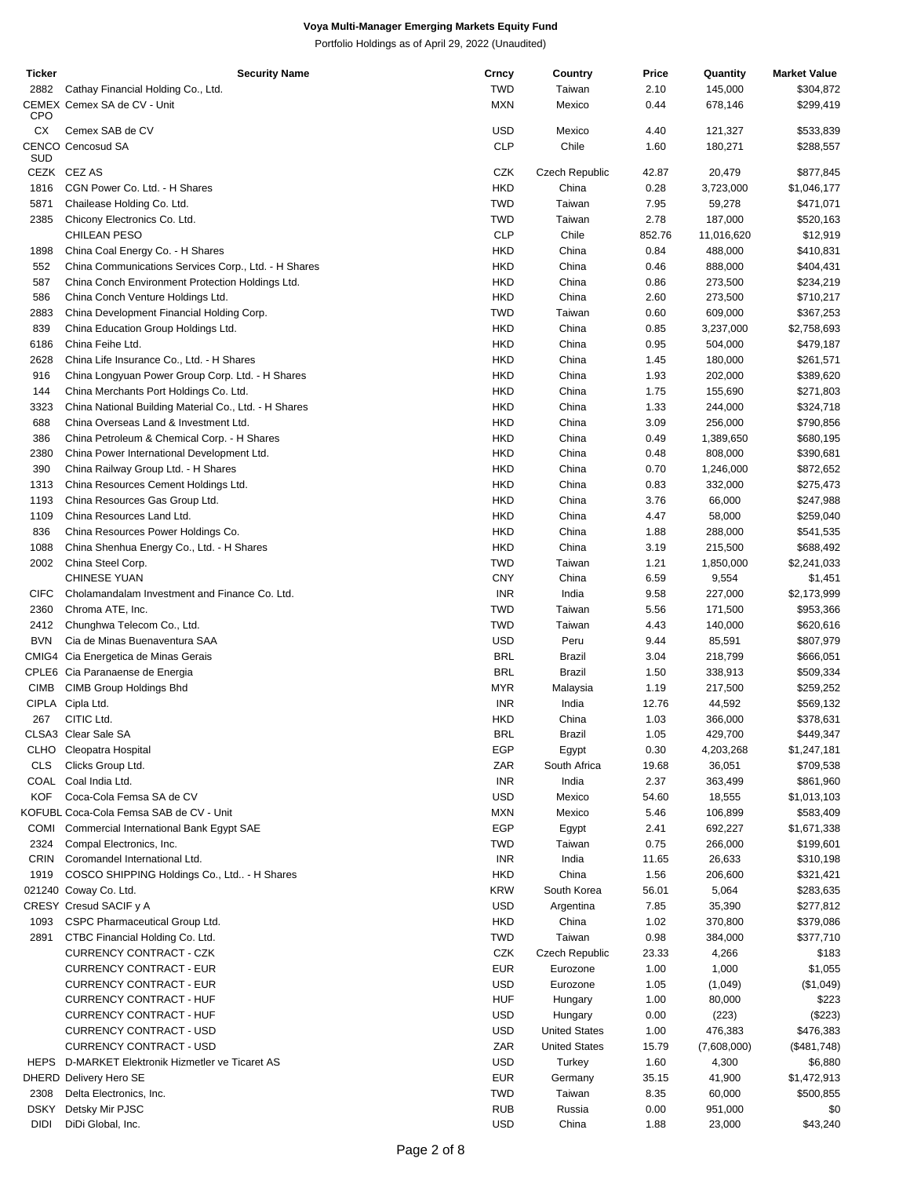| <b>Ticker</b> | <b>Security Name</b>                                  | Crncy      | Country              | Price  | Quantity          | <b>Market Value</b> |
|---------------|-------------------------------------------------------|------------|----------------------|--------|-------------------|---------------------|
| 2882          | Cathay Financial Holding Co., Ltd.                    | <b>TWD</b> | Taiwan               | 2.10   | 145,000           | \$304,872           |
| <b>CPO</b>    | CEMEX Cemex SA de CV - Unit                           | <b>MXN</b> | Mexico               | 0.44   | 678,146           | \$299,419           |
| СX            | Cemex SAB de CV                                       | USD        | Mexico               | 4.40   | 121,327           | \$533,839           |
| SUD           | <b>CENCO Cencosud SA</b>                              | <b>CLP</b> | Chile                | 1.60   | 180,271           | \$288,557           |
|               | CEZK CEZ AS                                           | CZK        | Czech Republic       | 42.87  | 20,479            | \$877,845           |
| 1816          | CGN Power Co. Ltd. - H Shares                         | <b>HKD</b> | China                | 0.28   | 3,723,000         | \$1,046,177         |
| 5871          | Chailease Holding Co. Ltd.                            | <b>TWD</b> | Taiwan               | 7.95   | 59,278            | \$471,071           |
| 2385          | Chicony Electronics Co. Ltd.                          | <b>TWD</b> | Taiwan               | 2.78   | 187,000           | \$520,163           |
|               | CHILEAN PESO                                          | <b>CLP</b> | Chile                | 852.76 | 11,016,620        | \$12,919            |
| 1898          | China Coal Energy Co. - H Shares                      | <b>HKD</b> | China                | 0.84   | 488,000           | \$410,831           |
| 552           | China Communications Services Corp., Ltd. - H Shares  | <b>HKD</b> | China                | 0.46   | 888,000           | \$404,431           |
| 587           | China Conch Environment Protection Holdings Ltd.      | <b>HKD</b> | China                | 0.86   | 273,500           | \$234,219           |
| 586           | China Conch Venture Holdings Ltd.                     | <b>HKD</b> | China                | 2.60   | 273,500           | \$710,217           |
| 2883          | China Development Financial Holding Corp.             | <b>TWD</b> | Taiwan               | 0.60   | 609,000           | \$367,253           |
| 839           | China Education Group Holdings Ltd.                   | <b>HKD</b> | China                | 0.85   | 3,237,000         | \$2,758,693         |
| 6186          | China Feihe Ltd.                                      | <b>HKD</b> | China                | 0.95   | 504,000           | \$479,187           |
| 2628          | China Life Insurance Co., Ltd. - H Shares             | <b>HKD</b> | China                | 1.45   | 180,000           | \$261,571           |
| 916           | China Longyuan Power Group Corp. Ltd. - H Shares      | <b>HKD</b> | China                | 1.93   | 202,000           | \$389,620           |
| 144           | China Merchants Port Holdings Co. Ltd.                | <b>HKD</b> | China                | 1.75   | 155,690           | \$271,803           |
| 3323          | China National Building Material Co., Ltd. - H Shares | <b>HKD</b> | China                | 1.33   | 244,000           | \$324,718           |
| 688           | China Overseas Land & Investment Ltd.                 | <b>HKD</b> | China                | 3.09   | 256,000           | \$790,856           |
| 386           | China Petroleum & Chemical Corp. - H Shares           | <b>HKD</b> | China                | 0.49   | 1,389,650         | \$680,195           |
| 2380          | China Power International Development Ltd.            | <b>HKD</b> | China                | 0.48   | 808,000           | \$390,681           |
| 390           | China Railway Group Ltd. - H Shares                   | <b>HKD</b> | China                | 0.70   | 1,246,000         | \$872,652           |
| 1313          | China Resources Cement Holdings Ltd.                  | <b>HKD</b> | China                | 0.83   | 332,000           | \$275,473           |
| 1193          | China Resources Gas Group Ltd.                        | <b>HKD</b> | China                | 3.76   | 66,000            | \$247,988           |
| 1109          | China Resources Land Ltd.                             | <b>HKD</b> | China                | 4.47   |                   |                     |
| 836           |                                                       | <b>HKD</b> | China                | 1.88   | 58,000<br>288,000 | \$259,040           |
| 1088          | China Resources Power Holdings Co.                    | <b>HKD</b> | China                |        |                   | \$541,535           |
|               | China Shenhua Energy Co., Ltd. - H Shares             | <b>TWD</b> |                      | 3.19   | 215,500           | \$688,492           |
| 2002          | China Steel Corp.                                     |            | Taiwan               | 1.21   | 1,850,000         | \$2,241,033         |
|               | <b>CHINESE YUAN</b>                                   | <b>CNY</b> | China                | 6.59   | 9,554             | \$1,451             |
| <b>CIFC</b>   | Cholamandalam Investment and Finance Co. Ltd.         | <b>INR</b> | India                | 9.58   | 227,000           | \$2,173,999         |
| 2360          | Chroma ATE, Inc.                                      | <b>TWD</b> | Taiwan               | 5.56   | 171,500           | \$953,366           |
| 2412          | Chunghwa Telecom Co., Ltd.                            | <b>TWD</b> | Taiwan               | 4.43   | 140,000           | \$620,616           |
| <b>BVN</b>    | Cia de Minas Buenaventura SAA                         | <b>USD</b> | Peru                 | 9.44   | 85,591            | \$807,979           |
|               | CMIG4 Cia Energetica de Minas Gerais                  | <b>BRL</b> | Brazil               | 3.04   | 218,799           | \$666,051           |
|               | CPLE6 Cia Paranaense de Energia                       | <b>BRL</b> | Brazil               | 1.50   | 338,913           | \$509,334           |
| <b>CIMB</b>   | CIMB Group Holdings Bhd                               | <b>MYR</b> | Malaysia             | 1.19   | 217,500           | \$259,252           |
|               | CIPLA Cipla Ltd.                                      | <b>INR</b> | India                | 12.76  | 44,592            | \$569,132           |
| 267           | CITIC Ltd.                                            | <b>HKD</b> | China                | 1.03   | 366,000           | \$378,631           |
|               | CLSA3 Clear Sale SA                                   | BRL        | Brazil               | 1.05   | 429,700           | \$449,347           |
|               | CLHO Cleopatra Hospital                               | EGP        | Egypt                | 0.30   | 4,203,268         | \$1,247,181         |
| <b>CLS</b>    | Clicks Group Ltd.                                     | ZAR        | South Africa         | 19.68  | 36,051            | \$709,538           |
|               | COAL Coal India Ltd.                                  | <b>INR</b> | India                | 2.37   | 363,499           | \$861,960           |
| <b>KOF</b>    | Coca-Cola Femsa SA de CV                              | <b>USD</b> | Mexico               | 54.60  | 18,555            | \$1,013,103         |
|               | KOFUBL Coca-Cola Femsa SAB de CV - Unit               | <b>MXN</b> | Mexico               | 5.46   | 106,899           | \$583,409           |
| <b>COMI</b>   | Commercial International Bank Egypt SAE               | EGP        | Egypt                | 2.41   | 692,227           | \$1,671,338         |
| 2324          | Compal Electronics, Inc.                              | <b>TWD</b> | Taiwan               | 0.75   | 266,000           | \$199,601           |
| CRIN          | Coromandel International Ltd.                         | <b>INR</b> | India                | 11.65  | 26,633            | \$310,198           |
| 1919          | COSCO SHIPPING Holdings Co., Ltd - H Shares           | <b>HKD</b> | China                | 1.56   | 206,600           | \$321,421           |
|               | 021240 Coway Co. Ltd.                                 | <b>KRW</b> | South Korea          | 56.01  | 5,064             | \$283,635           |
|               | CRESY Cresud SACIF y A                                | <b>USD</b> | Argentina            | 7.85   | 35,390            | \$277,812           |
| 1093          | CSPC Pharmaceutical Group Ltd.                        | <b>HKD</b> | China                | 1.02   | 370,800           | \$379,086           |
| 2891          | CTBC Financial Holding Co. Ltd.                       | <b>TWD</b> | Taiwan               | 0.98   | 384,000           | \$377,710           |
|               | CURRENCY CONTRACT - CZK                               | CZK        | Czech Republic       | 23.33  | 4,266             | \$183               |
|               | <b>CURRENCY CONTRACT - EUR</b>                        | <b>EUR</b> | Eurozone             | 1.00   | 1,000             | \$1,055             |
|               | <b>CURRENCY CONTRACT - EUR</b>                        | <b>USD</b> | Eurozone             | 1.05   | (1,049)           | (\$1,049)           |
|               | <b>CURRENCY CONTRACT - HUF</b>                        | <b>HUF</b> | Hungary              | 1.00   | 80,000            | \$223               |
|               | CURRENCY CONTRACT - HUF                               | <b>USD</b> | Hungary              | 0.00   | (223)             | (\$223)             |
|               | CURRENCY CONTRACT - USD                               | <b>USD</b> | <b>United States</b> | 1.00   | 476,383           | \$476,383           |
|               | <b>CURRENCY CONTRACT - USD</b>                        | ZAR        | <b>United States</b> | 15.79  | (7,608,000)       | (\$481,748)         |
|               | HEPS D-MARKET Elektronik Hizmetler ve Ticaret AS      | <b>USD</b> | Turkey               | 1.60   | 4,300             | \$6,880             |
|               | <b>DHERD Delivery Hero SE</b>                         | <b>EUR</b> | Germany              | 35.15  | 41,900            | \$1,472,913         |
| 2308          | Delta Electronics, Inc.                               | <b>TWD</b> | Taiwan               | 8.35   | 60,000            | \$500,855           |
| <b>DSKY</b>   | Detsky Mir PJSC                                       | <b>RUB</b> | Russia               | 0.00   | 951,000           | \$0                 |
| <b>DIDI</b>   | DiDi Global, Inc.                                     | <b>USD</b> | China                | 1.88   | 23,000            | \$43,240            |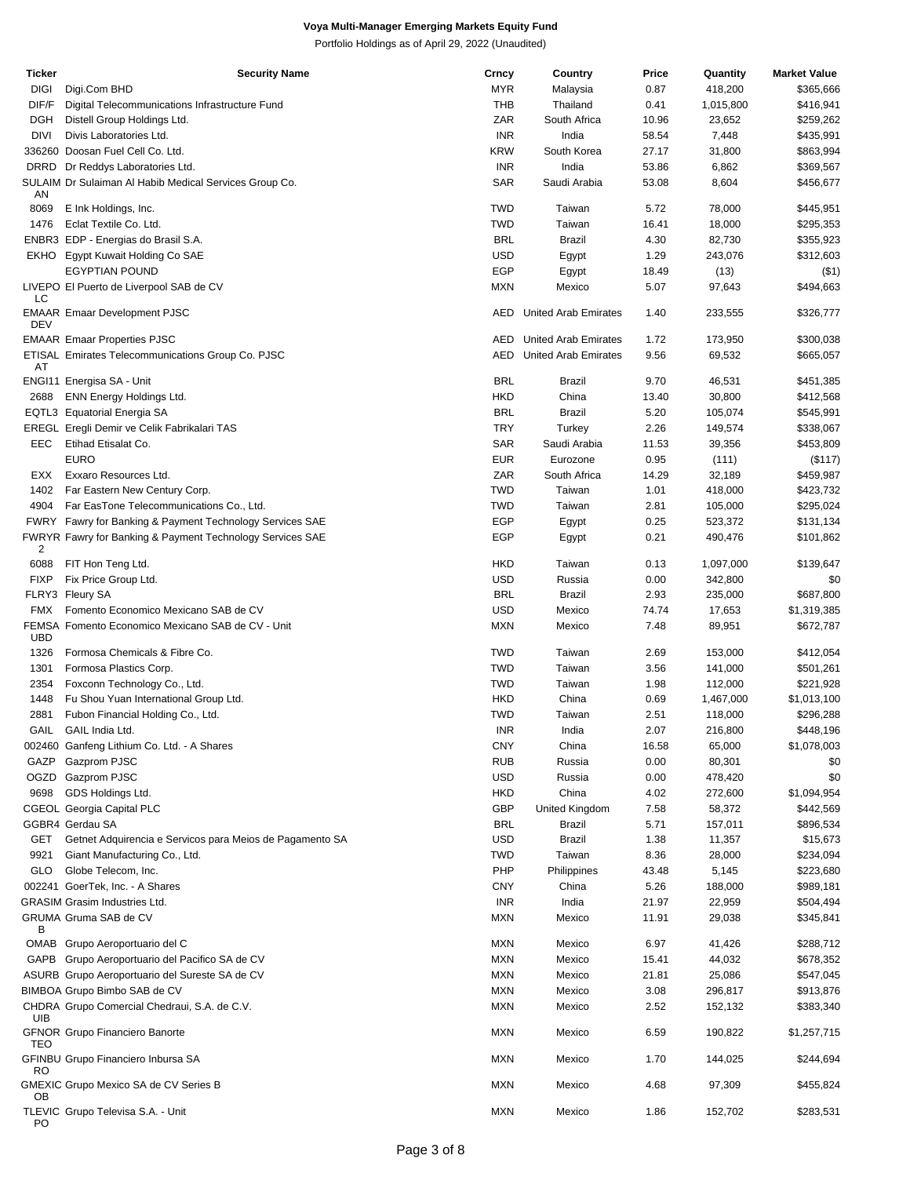| <b>Ticker</b> | <b>Security Name</b>                                      | Crncy      | Country                         | Price | Quantity  | <b>Market Value</b> |
|---------------|-----------------------------------------------------------|------------|---------------------------------|-------|-----------|---------------------|
| <b>DIGI</b>   | Digi.Com BHD                                              | <b>MYR</b> | Malaysia                        | 0.87  | 418,200   | \$365,666           |
| DIF/F         | Digital Telecommunications Infrastructure Fund            | THB        | Thailand                        | 0.41  | 1,015,800 | \$416,941           |
| <b>DGH</b>    | Distell Group Holdings Ltd.                               | ZAR        | South Africa                    | 10.96 | 23,652    | \$259,262           |
| DIVI          | Divis Laboratories Ltd.                                   | <b>INR</b> | India                           | 58.54 | 7,448     | \$435,991           |
|               | 336260 Doosan Fuel Cell Co. Ltd.                          | <b>KRW</b> | South Korea                     | 27.17 | 31,800    | \$863,994           |
| <b>DRRD</b>   | Dr Reddys Laboratories Ltd.                               | <b>INR</b> | India                           | 53.86 | 6,862     | \$369,567           |
|               | SULAIM Dr Sulaiman Al Habib Medical Services Group Co.    | SAR        | Saudi Arabia                    | 53.08 | 8,604     | \$456,677           |
| AN            |                                                           |            |                                 |       |           |                     |
| 8069          | E Ink Holdings, Inc.                                      | <b>TWD</b> | Taiwan                          | 5.72  | 78,000    | \$445,951           |
| 1476          | Eclat Textile Co. Ltd.                                    | <b>TWD</b> | Taiwan                          | 16.41 | 18,000    | \$295,353           |
|               | ENBR3 EDP - Energias do Brasil S.A.                       | <b>BRL</b> | <b>Brazil</b>                   | 4.30  | 82,730    | \$355,923           |
| EKHO          | Egypt Kuwait Holding Co SAE                               | <b>USD</b> | Egypt                           | 1.29  | 243,076   | \$312,603           |
|               | <b>EGYPTIAN POUND</b>                                     | <b>EGP</b> | Egypt                           | 18.49 | (13)      | $($ \$1)            |
|               | LIVEPO El Puerto de Liverpool SAB de CV                   | <b>MXN</b> | Mexico                          | 5.07  | 97,643    | \$494,663           |
| LC            |                                                           |            |                                 |       |           |                     |
|               | <b>EMAAR Emaar Development PJSC</b>                       |            | <b>AED</b> United Arab Emirates | 1.40  | 233,555   | \$326,777           |
| DEV           |                                                           |            |                                 |       |           |                     |
|               | <b>EMAAR Emaar Properties PJSC</b>                        |            | <b>AED</b> United Arab Emirates | 1.72  | 173,950   | \$300,038           |
| AT            | ETISAL Emirates Telecommunications Group Co. PJSC         |            | <b>AED</b> United Arab Emirates | 9.56  | 69,532    | \$665,057           |
|               | ENGI11 Energisa SA - Unit                                 | <b>BRL</b> | Brazil                          | 9.70  | 46,531    | \$451,385           |
| 2688          | ENN Energy Holdings Ltd.                                  | <b>HKD</b> | China                           | 13.40 | 30,800    | \$412,568           |
|               | EQTL3 Equatorial Energia SA                               | <b>BRL</b> | <b>Brazil</b>                   | 5.20  | 105,074   | \$545,991           |
|               | EREGL Eregli Demir ve Celik Fabrikalari TAS               | <b>TRY</b> | Turkey                          | 2.26  | 149,574   | \$338,067           |
| EEC           | Etihad Etisalat Co.                                       | <b>SAR</b> | Saudi Arabia                    | 11.53 | 39,356    | \$453,809           |
|               | <b>EURO</b>                                               | <b>EUR</b> | Eurozone                        | 0.95  |           |                     |
|               |                                                           | ZAR        | South Africa                    |       | (111)     | (\$117)             |
| EXX           | Exxaro Resources Ltd.                                     |            |                                 | 14.29 | 32,189    | \$459,987           |
| 1402          | Far Eastern New Century Corp.                             | <b>TWD</b> | Taiwan                          | 1.01  | 418,000   | \$423,732           |
| 4904          | Far EasTone Telecommunications Co., Ltd.                  | <b>TWD</b> | Taiwan                          | 2.81  | 105,000   | \$295,024           |
|               | FWRY Fawry for Banking & Payment Technology Services SAE  | <b>EGP</b> | Egypt                           | 0.25  | 523,372   | \$131,134           |
| 2             | FWRYR Fawry for Banking & Payment Technology Services SAE | <b>EGP</b> | Egypt                           | 0.21  | 490,476   | \$101,862           |
| 6088          | FIT Hon Teng Ltd.                                         | <b>HKD</b> | Taiwan                          | 0.13  | 1,097,000 | \$139,647           |
| <b>FIXP</b>   | Fix Price Group Ltd.                                      | <b>USD</b> | Russia                          | 0.00  | 342,800   | \$0                 |
|               | FLRY3 Fleury SA                                           | <b>BRL</b> | <b>Brazil</b>                   | 2.93  | 235,000   | \$687,800           |
| <b>FMX</b>    | Fomento Economico Mexicano SAB de CV                      | <b>USD</b> | Mexico                          | 74.74 | 17,653    | \$1,319,385         |
|               | FEMSA Fomento Economico Mexicano SAB de CV - Unit         |            |                                 |       |           |                     |
| UBD           |                                                           | <b>MXN</b> | Mexico                          | 7.48  | 89,951    | \$672,787           |
| 1326          | Formosa Chemicals & Fibre Co.                             | <b>TWD</b> | Taiwan                          | 2.69  | 153,000   | \$412,054           |
| 1301          | Formosa Plastics Corp.                                    | <b>TWD</b> | Taiwan                          | 3.56  | 141,000   | \$501,261           |
| 2354          | Foxconn Technology Co., Ltd.                              | <b>TWD</b> | Taiwan                          | 1.98  | 112,000   | \$221,928           |
| 1448          | Fu Shou Yuan International Group Ltd.                     | <b>HKD</b> | China                           | 0.69  | 1,467,000 | \$1,013,100         |
| 2881          | Fubon Financial Holding Co., Ltd.                         | <b>TWD</b> | Taiwan                          | 2.51  | 118,000   | \$296,288           |
| GAIL          | GAIL India Ltd.                                           | <b>INR</b> | India                           | 2.07  | 216,800   | \$448,196           |
|               | 002460 Ganfeng Lithium Co. Ltd. - A Shares                | <b>CNY</b> | China                           | 16.58 | 65,000    | \$1,078,003         |
| GAZP          | Gazprom PJSC                                              | <b>RUB</b> | Russia                          | 0.00  | 80,301    | \$0                 |
|               | OGZD Gazprom PJSC                                         | USD        | Russia                          | 0.00  | 478,420   | \$0                 |
| 9698          | GDS Holdings Ltd.                                         | <b>HKD</b> | China                           | 4.02  | 272,600   | \$1,094,954         |
|               |                                                           | GBP        | United Kingdom                  |       | 58,372    |                     |
|               | CGEOL Georgia Capital PLC                                 |            |                                 | 7.58  |           | \$442,569           |
|               | GGBR4 Gerdau SA                                           | <b>BRL</b> | Brazil                          | 5.71  | 157,011   | \$896,534           |
| GET           | Getnet Adquirencia e Servicos para Meios de Pagamento SA  | USD        | <b>Brazil</b>                   | 1.38  | 11,357    | \$15,673            |
| 9921          | Giant Manufacturing Co., Ltd.                             | <b>TWD</b> | Taiwan                          | 8.36  | 28,000    | \$234,094           |
| GLO           | Globe Telecom, Inc.                                       | PHP        | Philippines                     | 43.48 | 5,145     | \$223,680           |
|               | 002241 GoerTek, Inc. - A Shares                           | <b>CNY</b> | China                           | 5.26  | 188,000   | \$989,181           |
|               | <b>GRASIM Grasim Industries Ltd.</b>                      | <b>INR</b> | India                           | 21.97 | 22,959    | \$504,494           |
|               | GRUMA Gruma SAB de CV                                     | <b>MXN</b> | Mexico                          | 11.91 | 29,038    | \$345,841           |
| в             |                                                           |            |                                 |       |           |                     |
|               | OMAB Grupo Aeroportuario del C                            | <b>MXN</b> | Mexico                          | 6.97  | 41,426    | \$288,712           |
|               | GAPB Grupo Aeroportuario del Pacifico SA de CV            | <b>MXN</b> | Mexico                          | 15.41 | 44,032    | \$678,352           |
|               | ASURB Grupo Aeroportuario del Sureste SA de CV            | <b>MXN</b> | Mexico                          | 21.81 | 25,086    | \$547,045           |
|               | BIMBOA Grupo Bimbo SAB de CV                              | <b>MXN</b> | Mexico                          | 3.08  | 296,817   | \$913,876           |
| UIB           | CHDRA Grupo Comercial Chedraui, S.A. de C.V.              | <b>MXN</b> | Mexico                          | 2.52  | 152,132   | \$383,340           |
|               | <b>GFNOR Grupo Financiero Banorte</b>                     | <b>MXN</b> | Mexico                          | 6.59  | 190,822   | \$1,257,715         |
| TEO           |                                                           |            |                                 |       |           |                     |
|               | GFINBU Grupo Financiero Inbursa SA                        | <b>MXN</b> | Mexico                          | 1.70  | 144,025   | \$244,694           |
| RO            |                                                           |            |                                 |       |           |                     |
|               | GMEXIC Grupo Mexico SA de CV Series B                     | <b>MXN</b> | Mexico                          | 4.68  | 97,309    | \$455,824           |
| OВ            |                                                           |            |                                 |       |           |                     |
| PO            | TLEVIC Grupo Televisa S.A. - Unit                         | <b>MXN</b> | Mexico                          | 1.86  | 152,702   | \$283,531           |
|               |                                                           |            |                                 |       |           |                     |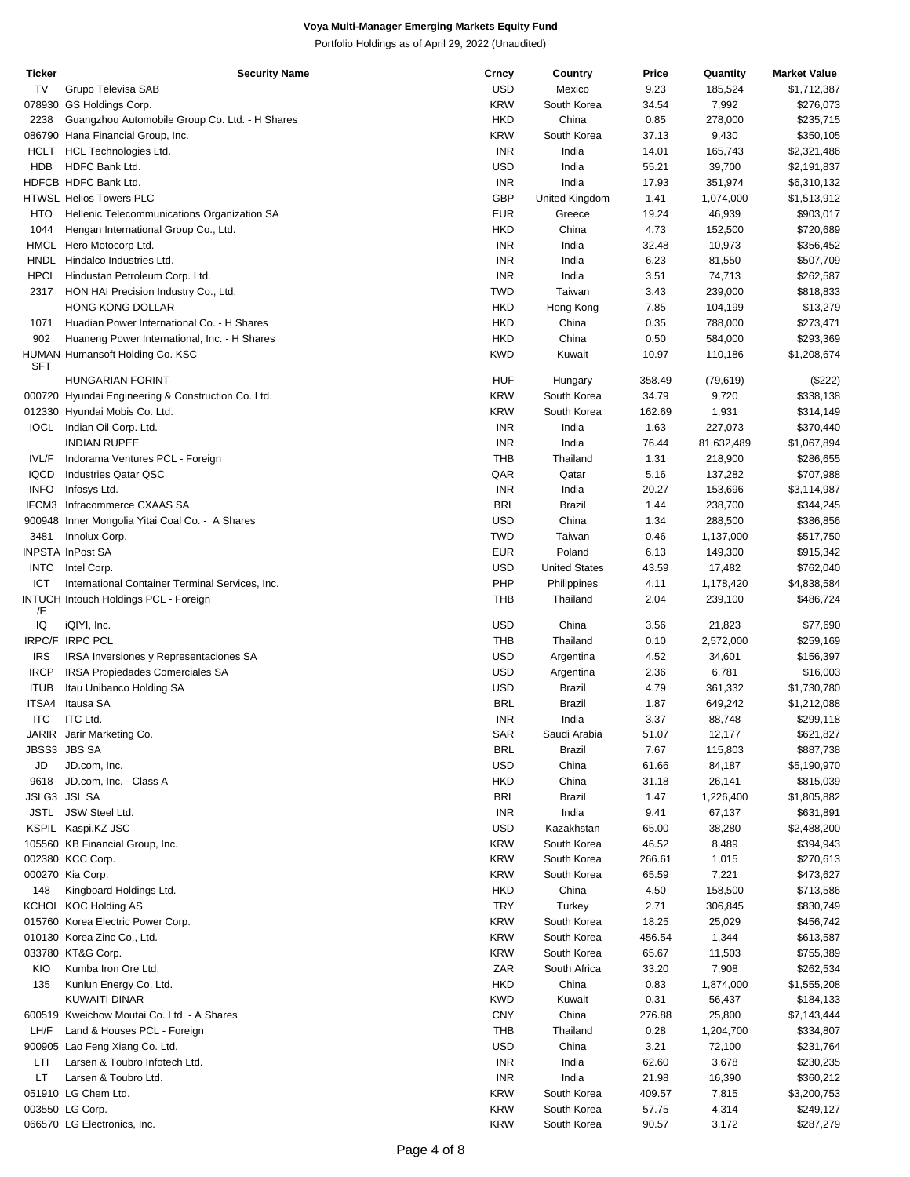| Ticker      | Security Name                                      | Crncy      | Country              | Price  | Quantity   | <b>Market Value</b> |
|-------------|----------------------------------------------------|------------|----------------------|--------|------------|---------------------|
| TV          | Grupo Televisa SAB                                 | <b>USD</b> | Mexico               | 9.23   | 185,524    | \$1,712,387         |
|             | 078930 GS Holdings Corp.                           | <b>KRW</b> | South Korea          | 34.54  | 7,992      | \$276,073           |
|             |                                                    |            |                      |        |            |                     |
| 2238        | Guangzhou Automobile Group Co. Ltd. - H Shares     | <b>HKD</b> | China                | 0.85   | 278,000    | \$235,715           |
|             | 086790 Hana Financial Group, Inc.                  | <b>KRW</b> | South Korea          | 37.13  | 9,430      | \$350,105           |
|             | HCLT HCL Technologies Ltd.                         | <b>INR</b> | India                | 14.01  | 165,743    | \$2,321,486         |
| <b>HDB</b>  | HDFC Bank Ltd.                                     | <b>USD</b> | India                | 55.21  | 39,700     | \$2,191,837         |
|             | HDFCB HDFC Bank Ltd.                               | <b>INR</b> | India                | 17.93  | 351,974    | \$6,310,132         |
|             |                                                    |            |                      |        |            |                     |
|             | HTWSL Helios Towers PLC                            | <b>GBP</b> | United Kingdom       | 1.41   | 1,074,000  | \$1,513,912         |
| HTO         | Hellenic Telecommunications Organization SA        | <b>EUR</b> | Greece               | 19.24  | 46,939     | \$903,017           |
| 1044        | Hengan International Group Co., Ltd.               | <b>HKD</b> | China                | 4.73   | 152,500    | \$720,689           |
|             | HMCL Hero Motocorp Ltd.                            | INR        | India                | 32.48  | 10,973     | \$356,452           |
|             | HNDL Hindalco Industries Ltd.                      | <b>INR</b> | India                | 6.23   | 81,550     | \$507,709           |
|             |                                                    |            |                      |        |            |                     |
| HPCL        | Hindustan Petroleum Corp. Ltd.                     | <b>INR</b> | India                | 3.51   | 74,713     | \$262,587           |
| 2317        | HON HAI Precision Industry Co., Ltd.               | <b>TWD</b> | Taiwan               | 3.43   | 239,000    | \$818,833           |
|             | HONG KONG DOLLAR                                   | <b>HKD</b> | Hong Kong            | 7.85   | 104,199    | \$13,279            |
| 1071        | Huadian Power International Co. - H Shares         | <b>HKD</b> | China                | 0.35   | 788,000    | \$273,471           |
| 902         | Huaneng Power International, Inc. - H Shares       | <b>HKD</b> | China                | 0.50   | 584,000    | \$293,369           |
|             |                                                    |            |                      |        |            |                     |
|             | HUMAN Humansoft Holding Co. KSC                    | <b>KWD</b> | Kuwait               | 10.97  | 110,186    | \$1,208,674         |
| <b>SFT</b>  |                                                    |            |                      |        |            |                     |
|             | <b>HUNGARIAN FORINT</b>                            | HUF        | Hungary              | 358.49 | (79, 619)  | (\$222)             |
|             | 000720 Hyundai Engineering & Construction Co. Ltd. | <b>KRW</b> | South Korea          | 34.79  | 9,720      | \$338,138           |
|             | 012330 Hyundai Mobis Co. Ltd.                      | <b>KRW</b> | South Korea          | 162.69 | 1,931      | \$314,149           |
|             | IOCL Indian Oil Corp. Ltd.                         | <b>INR</b> | India                | 1.63   | 227,073    | \$370,440           |
|             | <b>INDIAN RUPEE</b>                                | <b>INR</b> | India                | 76.44  | 81,632,489 | \$1,067,894         |
|             |                                                    |            |                      |        |            |                     |
| IVL/F       | Indorama Ventures PCL - Foreign                    | <b>THB</b> | Thailand             | 1.31   | 218,900    | \$286,655           |
| <b>IQCD</b> | <b>Industries Qatar QSC</b>                        | QAR        | Qatar                | 5.16   | 137,282    | \$707,988           |
| <b>INFO</b> | Infosys Ltd.                                       | <b>INR</b> | India                | 20.27  | 153,696    | \$3,114,987         |
|             | IFCM3 Infracommerce CXAAS SA                       | <b>BRL</b> | <b>Brazil</b>        | 1.44   | 238,700    | \$344,245           |
|             | 900948 Inner Mongolia Yitai Coal Co. - A Shares    | <b>USD</b> | China                | 1.34   | 288,500    | \$386,856           |
|             |                                                    |            |                      |        |            |                     |
| 3481        | Innolux Corp.                                      | <b>TWD</b> | Taiwan               | 0.46   | 1,137,000  | \$517,750           |
|             | <b>INPSTA InPost SA</b>                            | <b>EUR</b> | Poland               | 6.13   | 149,300    | \$915,342           |
| <b>INTC</b> | Intel Corp.                                        | <b>USD</b> | <b>United States</b> | 43.59  | 17,482     | \$762,040           |
| ICT         | International Container Terminal Services, Inc.    | PHP        | Philippines          | 4.11   | 1,178,420  | \$4,838,584         |
|             | <b>INTUCH Intouch Holdings PCL - Foreign</b>       | THB        | Thailand             | 2.04   | 239,100    | \$486,724           |
| /F          |                                                    |            |                      |        |            |                     |
| IQ          | iQIYI, Inc.                                        | <b>USD</b> | China                | 3.56   | 21,823     | \$77,690            |
|             |                                                    |            |                      |        |            |                     |
|             | IRPC/F IRPC PCL                                    | <b>THB</b> | Thailand             | 0.10   | 2,572,000  | \$259,169           |
| <b>IRS</b>  | IRSA Inversiones y Representaciones SA             | <b>USD</b> | Argentina            | 4.52   | 34,601     | \$156,397           |
| <b>IRCP</b> | IRSA Propiedades Comerciales SA                    | <b>USD</b> | Argentina            | 2.36   | 6,781      | \$16,003            |
| <b>ITUB</b> | Itau Unibanco Holding SA                           | <b>USD</b> | <b>Brazil</b>        | 4.79   | 361,332    | \$1,730,780         |
|             | ITSA4 Itausa SA                                    | <b>BRL</b> | <b>Brazil</b>        | 1.87   | 649,242    | \$1,212,088         |
|             |                                                    |            |                      |        |            |                     |
| <b>ITC</b>  | <b>ITC Ltd.</b>                                    | <b>INR</b> | India                | 3.37   | 88,748     | \$299,118           |
|             | JARIR Jarir Marketing Co.                          | SAR        | Saudi Arabia         | 51.07  | 12,177     | \$621,827           |
|             | JBSS3 JBS SA                                       | <b>BRL</b> | Brazil               | 7.67   | 115,803    | \$887,738           |
| JD          | JD.com, Inc.                                       | <b>USD</b> | China                | 61.66  | 84,187     | \$5,190,970         |
| 9618        | JD.com, Inc. - Class A                             | <b>HKD</b> | China                | 31.18  | 26,141     | \$815,039           |
|             |                                                    |            |                      |        |            |                     |
|             | JSLG3 JSL SA                                       | <b>BRL</b> | Brazil               | 1.47   | 1,226,400  | \$1,805,882         |
|             | JSTL JSW Steel Ltd.                                | <b>INR</b> | India                | 9.41   | 67,137     | \$631,891           |
|             | KSPIL Kaspi.KZ JSC                                 | <b>USD</b> | Kazakhstan           | 65.00  | 38,280     | \$2,488,200         |
|             | 105560 KB Financial Group, Inc.                    | <b>KRW</b> | South Korea          | 46.52  | 8,489      | \$394,943           |
|             | 002380 KCC Corp.                                   | <b>KRW</b> | South Korea          | 266.61 | 1,015      | \$270,613           |
|             |                                                    |            | South Korea          |        |            |                     |
|             | 000270 Kia Corp.                                   | <b>KRW</b> |                      | 65.59  | 7,221      | \$473,627           |
| 148         | Kingboard Holdings Ltd.                            | <b>HKD</b> | China                | 4.50   | 158,500    | \$713,586           |
|             | KCHOL KOC Holding AS                               | <b>TRY</b> | Turkey               | 2.71   | 306,845    | \$830,749           |
|             | 015760 Korea Electric Power Corp.                  | <b>KRW</b> | South Korea          | 18.25  | 25,029     | \$456,742           |
|             | 010130 Korea Zinc Co., Ltd.                        | <b>KRW</b> | South Korea          | 456.54 | 1,344      | \$613,587           |
|             |                                                    |            |                      |        |            |                     |
|             | 033780 KT&G Corp.                                  | <b>KRW</b> | South Korea          | 65.67  | 11,503     | \$755,389           |
| KIO         | Kumba Iron Ore Ltd.                                | ZAR        | South Africa         | 33.20  | 7,908      | \$262,534           |
| 135         | Kunlun Energy Co. Ltd.                             | <b>HKD</b> | China                | 0.83   | 1,874,000  | \$1,555,208         |
|             | KUWAITI DINAR                                      | <b>KWD</b> | Kuwait               | 0.31   | 56,437     | \$184,133           |
|             | 600519 Kweichow Moutai Co. Ltd. - A Shares         | <b>CNY</b> | China                | 276.88 | 25,800     | \$7,143,444         |
|             |                                                    |            |                      |        |            |                     |
| LH/F        | Land & Houses PCL - Foreign                        | <b>THB</b> | Thailand             | 0.28   | 1,204,700  | \$334,807           |
|             | 900905 Lao Feng Xiang Co. Ltd.                     | <b>USD</b> | China                | 3.21   | 72,100     | \$231,764           |
| LTI         | Larsen & Toubro Infotech Ltd.                      | <b>INR</b> | India                | 62.60  | 3,678      | \$230,235           |
| LT          | Larsen & Toubro Ltd.                               | <b>INR</b> | India                | 21.98  | 16,390     | \$360,212           |
|             | 051910 LG Chem Ltd.                                | <b>KRW</b> | South Korea          | 409.57 | 7,815      | \$3,200,753         |
|             | 003550 LG Corp.                                    | <b>KRW</b> | South Korea          | 57.75  | 4,314      | \$249,127           |
|             |                                                    |            |                      |        |            |                     |
|             | 066570 LG Electronics, Inc.                        | <b>KRW</b> | South Korea          | 90.57  | 3,172      | \$287,279           |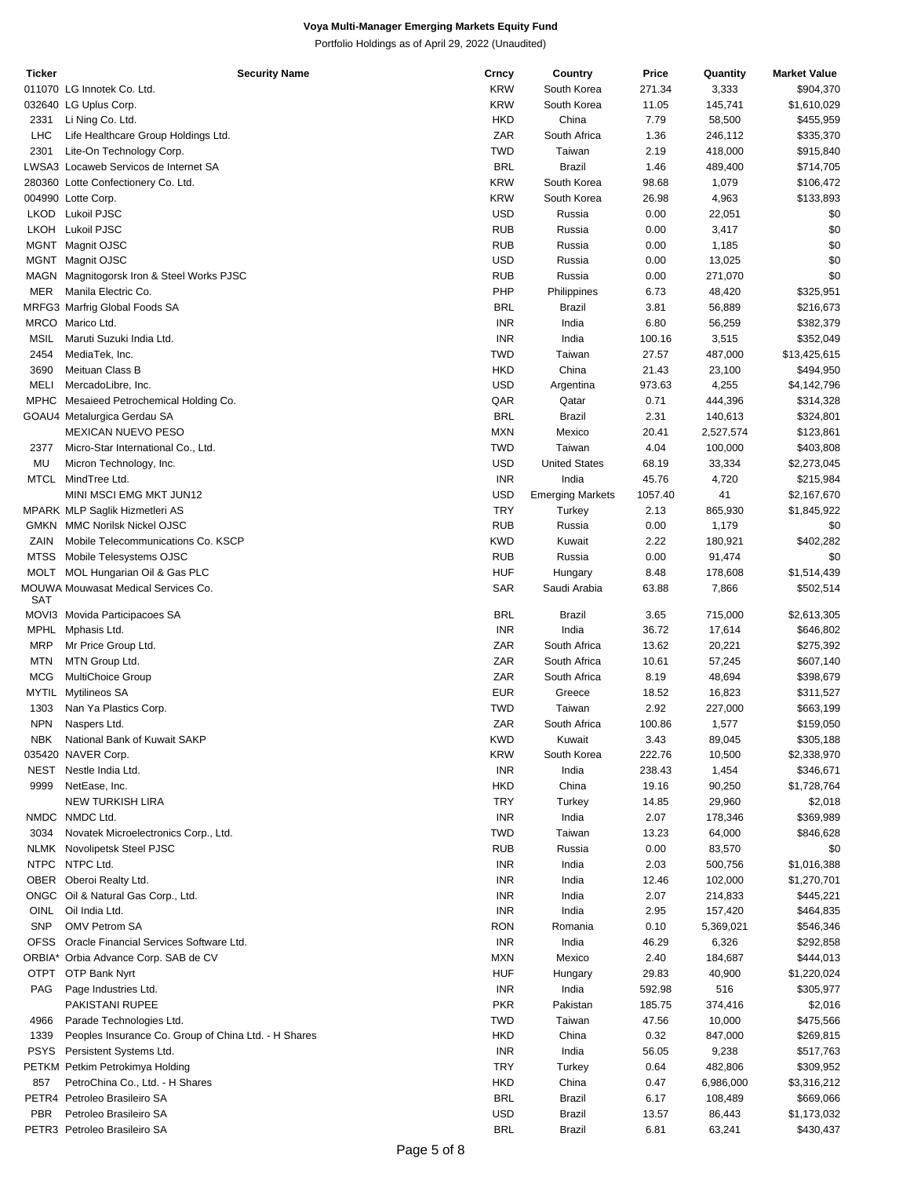| <b>Ticker</b> | <b>Security Name</b>                                 | Crncy      | Country                 | Price   | Quantity  | <b>Market Value</b> |
|---------------|------------------------------------------------------|------------|-------------------------|---------|-----------|---------------------|
|               | 011070 LG Innotek Co. Ltd.                           | <b>KRW</b> | South Korea             | 271.34  | 3,333     | \$904,370           |
|               | 032640 LG Uplus Corp.                                | <b>KRW</b> | South Korea             | 11.05   | 145,741   | \$1,610,029         |
| 2331          | Li Ning Co. Ltd.                                     | <b>HKD</b> | China                   | 7.79    | 58,500    | \$455,959           |
| LHC           | Life Healthcare Group Holdings Ltd.                  | ZAR        | South Africa            | 1.36    | 246,112   | \$335,370           |
|               |                                                      |            |                         |         |           |                     |
| 2301          | Lite-On Technology Corp.                             | <b>TWD</b> | Taiwan                  | 2.19    | 418,000   | \$915,840           |
|               | LWSA3 Locaweb Servicos de Internet SA                | <b>BRL</b> | <b>Brazil</b>           | 1.46    | 489,400   | \$714,705           |
|               | 280360 Lotte Confectionery Co. Ltd.                  | <b>KRW</b> | South Korea             | 98.68   | 1,079     | \$106,472           |
|               | 004990 Lotte Corp.                                   | <b>KRW</b> | South Korea             | 26.98   | 4,963     | \$133,893           |
| LKOD          | Lukoil PJSC                                          | <b>USD</b> | Russia                  | 0.00    | 22,051    | \$0                 |
| LKOH          | <b>Lukoil PJSC</b>                                   | <b>RUB</b> | Russia                  | 0.00    | 3,417     | \$0                 |
|               | MGNT Magnit OJSC                                     | <b>RUB</b> | Russia                  | 0.00    | 1,185     | \$0                 |
|               |                                                      |            |                         |         |           |                     |
| MGNT          | Magnit OJSC                                          | <b>USD</b> | Russia                  | 0.00    | 13,025    | \$0                 |
|               | MAGN Magnitogorsk Iron & Steel Works PJSC            | <b>RUB</b> | Russia                  | 0.00    | 271,070   | \$0                 |
| <b>MER</b>    | Manila Electric Co.                                  | PHP        | Philippines             | 6.73    | 48,420    | \$325,951           |
|               | MRFG3 Marfrig Global Foods SA                        | <b>BRL</b> | Brazil                  | 3.81    | 56,889    | \$216,673           |
|               | MRCO Marico Ltd.                                     | <b>INR</b> | India                   | 6.80    | 56,259    | \$382,379           |
| MSIL          | Maruti Suzuki India Ltd.                             | <b>INR</b> | India                   | 100.16  | 3,515     | \$352,049           |
| 2454          | MediaTek, Inc.                                       | <b>TWD</b> | Taiwan                  | 27.57   | 487,000   | \$13,425,615        |
|               |                                                      | <b>HKD</b> | China                   |         |           |                     |
| 3690          | Meituan Class B                                      |            |                         | 21.43   | 23,100    | \$494,950           |
| <b>MELI</b>   | MercadoLibre, Inc.                                   | <b>USD</b> | Argentina               | 973.63  | 4,255     | \$4,142,796         |
|               | MPHC Mesaieed Petrochemical Holding Co.              | QAR        | Qatar                   | 0.71    | 444,396   | \$314,328           |
|               | GOAU4 Metalurgica Gerdau SA                          | <b>BRL</b> | <b>Brazil</b>           | 2.31    | 140,613   | \$324,801           |
|               | <b>MEXICAN NUEVO PESO</b>                            | <b>MXN</b> | Mexico                  | 20.41   | 2,527,574 | \$123,861           |
| 2377          | Micro-Star International Co., Ltd.                   | <b>TWD</b> | Taiwan                  | 4.04    | 100,000   | \$403,808           |
| MU            | Micron Technology, Inc.                              | <b>USD</b> | <b>United States</b>    | 68.19   | 33,334    | \$2,273,045         |
|               |                                                      | <b>INR</b> |                         |         |           |                     |
|               | MTCL MindTree Ltd.                                   |            | India                   | 45.76   | 4,720     | \$215,984           |
|               | MINI MSCI EMG MKT JUN12                              | <b>USD</b> | <b>Emerging Markets</b> | 1057.40 | 41        | \$2,167,670         |
|               | MPARK MLP Saglik Hizmetleri AS                       | <b>TRY</b> | Turkey                  | 2.13    | 865,930   | \$1,845,922         |
|               | <b>GMKN MMC Norilsk Nickel OJSC</b>                  | <b>RUB</b> | Russia                  | 0.00    | 1,179     | \$0                 |
| ZAIN          | Mobile Telecommunications Co. KSCP                   | <b>KWD</b> | Kuwait                  | 2.22    | 180,921   | \$402,282           |
|               | MTSS Mobile Telesystems OJSC                         | <b>RUB</b> | Russia                  | 0.00    | 91,474    | \$0                 |
|               | MOLT MOL Hungarian Oil & Gas PLC                     | <b>HUF</b> | Hungary                 | 8.48    | 178,608   | \$1,514,439         |
|               |                                                      |            |                         |         |           |                     |
| SAT           | MOUWA Mouwasat Medical Services Co.                  | <b>SAR</b> | Saudi Arabia            | 63.88   | 7,866     | \$502,514           |
|               |                                                      | <b>BRL</b> |                         | 3.65    | 715,000   |                     |
|               | MOVI3 Movida Participacoes SA                        |            | Brazil                  |         |           | \$2,613,305         |
| MPHL          | Mphasis Ltd.                                         | <b>INR</b> | India                   | 36.72   | 17,614    | \$646,802           |
| <b>MRP</b>    | Mr Price Group Ltd.                                  | ZAR        | South Africa            | 13.62   | 20,221    | \$275,392           |
| <b>MTN</b>    | MTN Group Ltd.                                       | ZAR        | South Africa            | 10.61   | 57,245    | \$607,140           |
| <b>MCG</b>    | <b>MultiChoice Group</b>                             | ZAR        | South Africa            | 8.19    | 48,694    | \$398,679           |
|               | MYTIL Mytilineos SA                                  | <b>EUR</b> | Greece                  | 18.52   | 16,823    | \$311,527           |
| 1303          | Nan Ya Plastics Corp.                                | <b>TWD</b> | Taiwan                  | 2.92    | 227,000   | \$663,199           |
| <b>NPN</b>    | Naspers Ltd.                                         | ZAR        | South Africa            | 100.86  | 1,577     | \$159,050           |
|               |                                                      |            |                         |         |           |                     |
| <b>NBK</b>    | National Bank of Kuwait SAKP                         | <b>KWD</b> | Kuwait                  | 3.43    | 89,045    | \$305,188           |
|               | 035420 NAVER Corp.                                   | <b>KRW</b> | South Korea             | 222.76  | 10,500    | \$2,338,970         |
| NEST          | Nestle India Ltd.                                    | <b>INR</b> | India                   | 238.43  | 1,454     | \$346,671           |
| 9999          | NetEase, Inc.                                        | <b>HKD</b> | China                   | 19.16   | 90,250    | \$1,728,764         |
|               | <b>NEW TURKISH LIRA</b>                              | <b>TRY</b> | Turkey                  | 14.85   | 29,960    | \$2,018             |
|               | NMDC NMDC Ltd.                                       | <b>INR</b> | India                   | 2.07    | 178,346   | \$369,989           |
| 3034          |                                                      | <b>TWD</b> | Taiwan                  |         |           |                     |
|               | Novatek Microelectronics Corp., Ltd.                 |            |                         | 13.23   | 64,000    | \$846,628           |
|               | NLMK Novolipetsk Steel PJSC                          | <b>RUB</b> | Russia                  | 0.00    | 83,570    | \$0                 |
|               | NTPC NTPC Ltd.                                       | <b>INR</b> | India                   | 2.03    | 500,756   | \$1,016,388         |
|               | OBER Oberoi Realty Ltd.                              | <b>INR</b> | India                   | 12.46   | 102,000   | \$1,270,701         |
|               | ONGC Oil & Natural Gas Corp., Ltd.                   | <b>INR</b> | India                   | 2.07    | 214,833   | \$445,221           |
| <b>OINL</b>   | Oil India Ltd.                                       | <b>INR</b> | India                   | 2.95    | 157,420   | \$464,835           |
| <b>SNP</b>    | <b>OMV Petrom SA</b>                                 | <b>RON</b> |                         | 0.10    |           | \$546,346           |
|               |                                                      |            | Romania                 |         | 5,369,021 |                     |
| <b>OFSS</b>   | Oracle Financial Services Software Ltd.              | <b>INR</b> | India                   | 46.29   | 6,326     | \$292,858           |
|               | ORBIA* Orbia Advance Corp. SAB de CV                 | <b>MXN</b> | Mexico                  | 2.40    | 184,687   | \$444,013           |
|               | OTPT OTP Bank Nyrt                                   | <b>HUF</b> | Hungary                 | 29.83   | 40,900    | \$1,220,024         |
| PAG           | Page Industries Ltd.                                 | <b>INR</b> | India                   | 592.98  | 516       | \$305,977           |
|               | PAKISTANI RUPEE                                      | <b>PKR</b> | Pakistan                | 185.75  | 374,416   | \$2,016             |
| 4966          | Parade Technologies Ltd.                             | <b>TWD</b> | Taiwan                  | 47.56   | 10,000    | \$475,566           |
| 1339          | Peoples Insurance Co. Group of China Ltd. - H Shares | HKD        | China                   | 0.32    |           | \$269,815           |
|               |                                                      |            |                         |         | 847,000   |                     |
|               | PSYS Persistent Systems Ltd.                         | <b>INR</b> | India                   | 56.05   | 9,238     | \$517,763           |
|               | PETKM Petkim Petrokimya Holding                      | <b>TRY</b> | Turkey                  | 0.64    | 482,806   | \$309,952           |
| 857           | PetroChina Co., Ltd. - H Shares                      | <b>HKD</b> | China                   | 0.47    | 6,986,000 | \$3,316,212         |
|               | PETR4 Petroleo Brasileiro SA                         | <b>BRL</b> | <b>Brazil</b>           | 6.17    | 108,489   | \$669,066           |
| <b>PBR</b>    | Petroleo Brasileiro SA                               | USD        | Brazil                  | 13.57   | 86,443    | \$1,173,032         |
|               | PETR3 Petroleo Brasileiro SA                         | <b>BRL</b> |                         |         | 63,241    | \$430,437           |
|               |                                                      |            | Brazil                  | 6.81    |           |                     |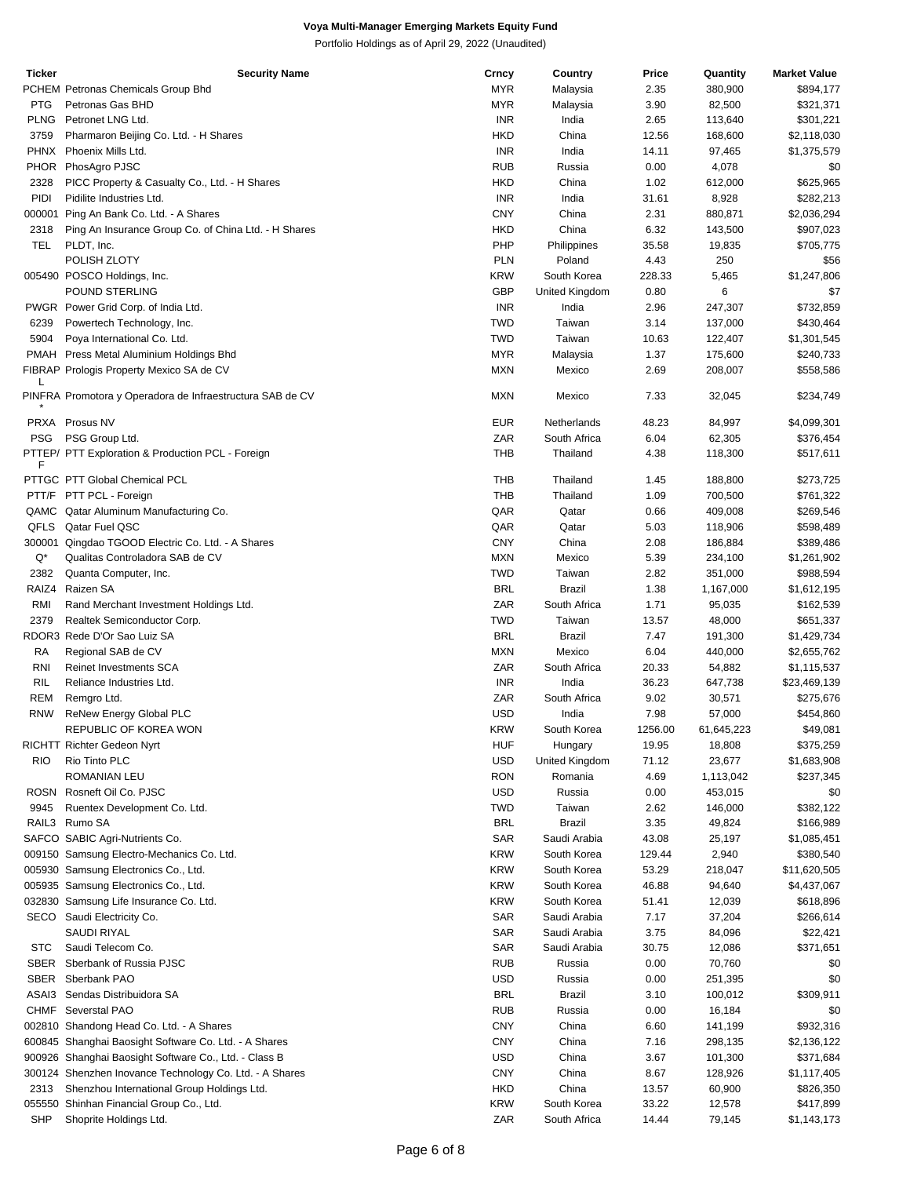| <b>Ticker</b>      | <b>Security Name</b>                                      | Crncy      | Country        | Price   | Quantity   | <b>Market Value</b> |
|--------------------|-----------------------------------------------------------|------------|----------------|---------|------------|---------------------|
|                    | PCHEM Petronas Chemicals Group Bhd                        | <b>MYR</b> | Malaysia       | 2.35    | 380,900    | \$894,177           |
| <b>PTG</b>         | Petronas Gas BHD                                          | <b>MYR</b> | Malaysia       | 3.90    | 82,500     | \$321,371           |
| <b>PLNG</b>        | Petronet LNG Ltd.                                         | INR        | India          | 2.65    | 113,640    | \$301,221           |
| 3759               | Pharmaron Beijing Co. Ltd. - H Shares                     | <b>HKD</b> | China          | 12.56   | 168,600    | \$2,118,030         |
|                    | PHNX Phoenix Mills Ltd.                                   | <b>INR</b> | India          | 14.11   | 97,465     | \$1,375,579         |
|                    | PHOR PhosAgro PJSC                                        |            |                |         |            |                     |
|                    |                                                           | <b>RUB</b> | Russia         | 0.00    | 4,078      | \$0                 |
| 2328               | PICC Property & Casualty Co., Ltd. - H Shares             | <b>HKD</b> | China          | 1.02    | 612,000    | \$625,965           |
| PIDI               | Pidilite Industries Ltd.                                  | INR        | India          | 31.61   | 8,928      | \$282,213           |
|                    | 000001 Ping An Bank Co. Ltd. - A Shares                   | <b>CNY</b> | China          | 2.31    | 880,871    | \$2,036,294         |
| 2318               | Ping An Insurance Group Co. of China Ltd. - H Shares      | <b>HKD</b> | China          | 6.32    | 143,500    | \$907,023           |
| TEL                | PLDT, Inc.                                                | PHP        | Philippines    | 35.58   | 19,835     | \$705,775           |
|                    | POLISH ZLOTY                                              | <b>PLN</b> | Poland         | 4.43    | 250        | \$56                |
|                    | 005490 POSCO Holdings, Inc.                               | <b>KRW</b> | South Korea    | 228.33  | 5,465      | \$1,247,806         |
|                    | POUND STERLING                                            | GBP        | United Kingdom | 0.80    | 6          | \$7                 |
|                    |                                                           |            |                |         |            |                     |
|                    | PWGR Power Grid Corp. of India Ltd.                       | <b>INR</b> | India          | 2.96    | 247,307    | \$732,859           |
| 6239               | Powertech Technology, Inc.                                | <b>TWD</b> | Taiwan         | 3.14    | 137,000    | \$430,464           |
| 5904               | Poya International Co. Ltd.                               | <b>TWD</b> | Taiwan         | 10.63   | 122,407    | \$1,301,545         |
|                    | PMAH Press Metal Aluminium Holdings Bhd                   | <b>MYR</b> | Malaysia       | 1.37    | 175,600    | \$240,733           |
|                    | FIBRAP Prologis Property Mexico SA de CV                  | <b>MXN</b> | Mexico         | 2.69    | 208,007    | \$558,586           |
| L                  |                                                           |            |                |         |            |                     |
|                    | PINFRA Promotora y Operadora de Infraestructura SAB de CV | <b>MXN</b> | Mexico         | 7.33    | 32,045     | \$234,749           |
|                    | PRXA Prosus NV                                            | <b>EUR</b> | Netherlands    | 48.23   | 84,997     | \$4,099,301         |
| <b>PSG</b>         | PSG Group Ltd.                                            | ZAR        | South Africa   | 6.04    | 62,305     | \$376,454           |
|                    | PTTEP/ PTT Exploration & Production PCL - Foreign         | <b>THB</b> | Thailand       | 4.38    | 118,300    |                     |
| F                  |                                                           |            |                |         |            | \$517,611           |
|                    | PTTGC PTT Global Chemical PCL                             | <b>THB</b> | Thailand       | 1.45    | 188,800    | \$273,725           |
|                    | PTT/F PTT PCL - Foreign                                   | <b>THB</b> | Thailand       | 1.09    | 700,500    | \$761,322           |
|                    | QAMC Qatar Aluminum Manufacturing Co.                     | QAR        | Qatar          | 0.66    | 409,008    | \$269,546           |
|                    | QFLS Qatar Fuel QSC                                       | QAR        | Qatar          | 5.03    | 118,906    | \$598,489           |
|                    | 300001 Qingdao TGOOD Electric Co. Ltd. - A Shares         | <b>CNY</b> | China          | 2.08    | 186,884    | \$389,486           |
| $\mathsf{Q}^\star$ |                                                           | <b>MXN</b> | Mexico         | 5.39    |            |                     |
|                    | Qualitas Controladora SAB de CV                           |            |                |         | 234,100    | \$1,261,902         |
| 2382               | Quanta Computer, Inc.                                     | <b>TWD</b> | Taiwan         | 2.82    | 351,000    | \$988,594           |
| RAIZ4              | Raizen SA                                                 | <b>BRL</b> | <b>Brazil</b>  | 1.38    | 1,167,000  | \$1,612,195         |
| RMI                | Rand Merchant Investment Holdings Ltd.                    | ZAR        | South Africa   | 1.71    | 95,035     | \$162,539           |
| 2379               | Realtek Semiconductor Corp.                               | <b>TWD</b> | Taiwan         | 13.57   | 48,000     | \$651,337           |
|                    | RDOR3 Rede D'Or Sao Luiz SA                               | <b>BRL</b> | <b>Brazil</b>  | 7.47    | 191,300    | \$1,429,734         |
| RA                 | Regional SAB de CV                                        | <b>MXN</b> | Mexico         | 6.04    | 440,000    | \$2,655,762         |
| RNI                | <b>Reinet Investments SCA</b>                             | ZAR        | South Africa   | 20.33   | 54,882     | \$1,115,537         |
| RIL                | Reliance Industries Ltd.                                  | <b>INR</b> | India          | 36.23   | 647,738    | \$23,469,139        |
|                    |                                                           |            |                |         |            |                     |
| REM                | Remgro Ltd.                                               | ZAR        | South Africa   | 9.02    | 30,571     | \$275,676           |
| <b>RNW</b>         | ReNew Energy Global PLC                                   | <b>USD</b> | India          | 7.98    | 57,000     | \$454,860           |
|                    | REPUBLIC OF KOREA WON                                     | <b>KRW</b> | South Korea    | 1256.00 | 61,645,223 | \$49,081            |
|                    | RICHTT Richter Gedeon Nyrt                                | <b>HUF</b> | Hungary        | 19.95   | 18,808     | \$375,259           |
| <b>RIO</b>         | Rio Tinto PLC                                             | <b>USD</b> | United Kingdom | 71.12   | 23,677     | \$1,683,908         |
|                    | ROMANIAN LEU                                              | <b>RON</b> | Romania        | 4.69    | 1,113,042  | \$237,345           |
|                    | ROSN Rosneft Oil Co. PJSC                                 | <b>USD</b> | Russia         | 0.00    | 453,015    | \$0                 |
| 9945               | Ruentex Development Co. Ltd.                              | <b>TWD</b> | Taiwan         | 2.62    | 146,000    | \$382,122           |
|                    | RAIL3 Rumo SA                                             | <b>BRL</b> | Brazil         | 3.35    | 49,824     | \$166,989           |
|                    |                                                           |            |                |         |            |                     |
|                    | SAFCO SABIC Agri-Nutrients Co.                            | SAR        | Saudi Arabia   | 43.08   | 25,197     | \$1,085,451         |
|                    | 009150 Samsung Electro-Mechanics Co. Ltd.                 | <b>KRW</b> | South Korea    | 129.44  | 2,940      | \$380,540           |
|                    | 005930 Samsung Electronics Co., Ltd.                      | <b>KRW</b> | South Korea    | 53.29   | 218,047    | \$11,620,505        |
|                    | 005935 Samsung Electronics Co., Ltd.                      | <b>KRW</b> | South Korea    | 46.88   | 94,640     | \$4,437,067         |
|                    | 032830 Samsung Life Insurance Co. Ltd.                    | <b>KRW</b> | South Korea    | 51.41   | 12,039     | \$618,896           |
|                    | SECO Saudi Electricity Co.                                | SAR        | Saudi Arabia   | 7.17    | 37,204     | \$266,614           |
|                    | SAUDI RIYAL                                               | SAR        | Saudi Arabia   | 3.75    | 84,096     | \$22,421            |
| <b>STC</b>         | Saudi Telecom Co.                                         | SAR        | Saudi Arabia   | 30.75   | 12,086     | \$371,651           |
|                    |                                                           |            |                |         |            |                     |
| SBER               | Sberbank of Russia PJSC                                   | <b>RUB</b> | Russia         | 0.00    | 70,760     | \$0                 |
| SBER               | Sberbank PAO                                              | <b>USD</b> | Russia         | 0.00    | 251,395    | \$0                 |
|                    | ASAI3 Sendas Distribuidora SA                             | <b>BRL</b> | Brazil         | 3.10    | 100,012    | \$309,911           |
|                    | CHMF Severstal PAO                                        | <b>RUB</b> | Russia         | 0.00    | 16,184     | \$0                 |
|                    | 002810 Shandong Head Co. Ltd. - A Shares                  | <b>CNY</b> | China          | 6.60    | 141,199    | \$932,316           |
|                    | 600845 Shanghai Baosight Software Co. Ltd. - A Shares     | <b>CNY</b> | China          | 7.16    | 298,135    | \$2,136,122         |
|                    | 900926 Shanghai Baosight Software Co., Ltd. - Class B     | <b>USD</b> | China          | 3.67    | 101,300    | \$371,684           |
|                    | 300124 Shenzhen Inovance Technology Co. Ltd. - A Shares   | <b>CNY</b> | China          | 8.67    | 128,926    | \$1,117,405         |
|                    |                                                           | <b>HKD</b> | China          |         |            |                     |
| 2313               | Shenzhou International Group Holdings Ltd.                |            |                | 13.57   | 60,900     | \$826,350           |
|                    | 055550 Shinhan Financial Group Co., Ltd.                  | <b>KRW</b> | South Korea    | 33.22   | 12,578     | \$417,899           |
| SHP                | Shoprite Holdings Ltd.                                    | ZAR        | South Africa   | 14.44   | 79,145     | \$1,143,173         |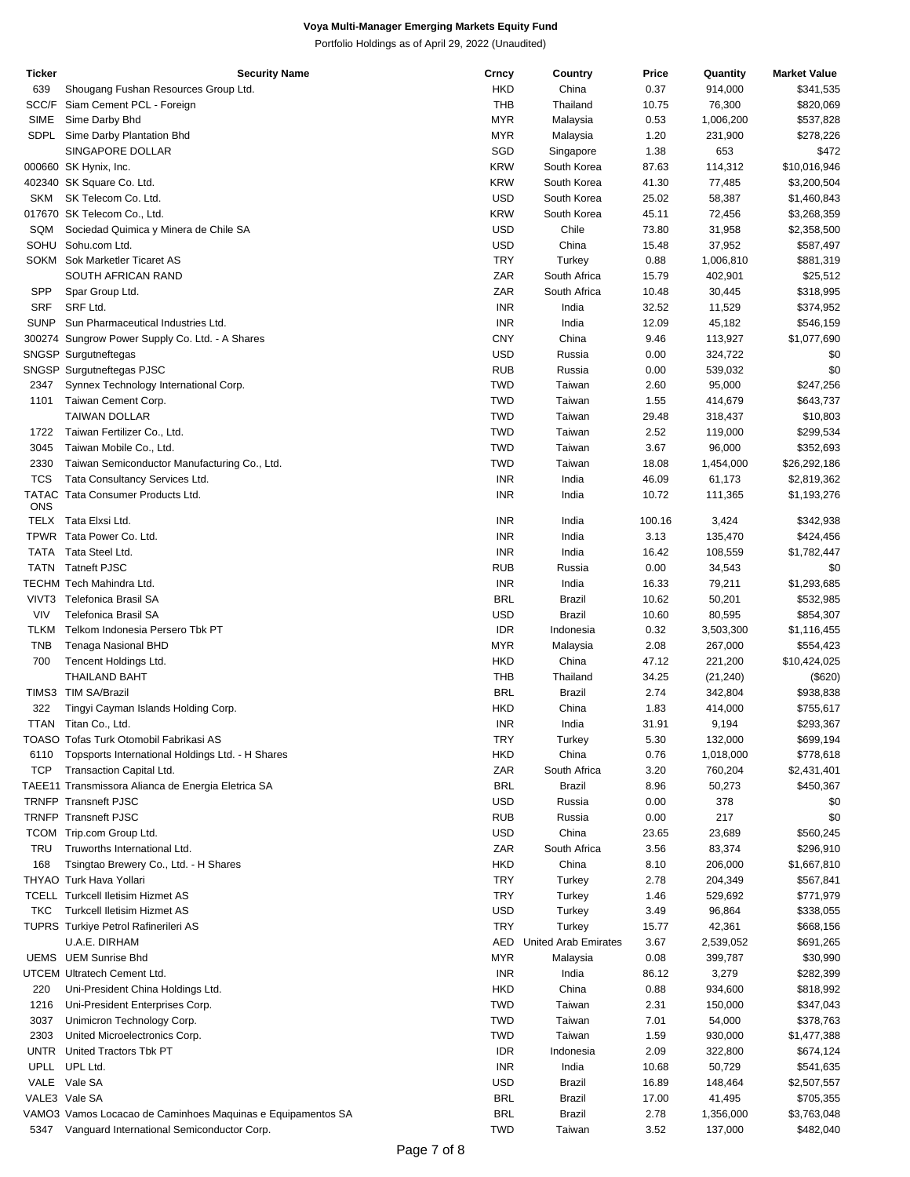| Ticker       | <b>Security Name</b>                                        | Crncy      | Country              | Price  | Quantity  | <b>Market Value</b> |
|--------------|-------------------------------------------------------------|------------|----------------------|--------|-----------|---------------------|
| 639          | Shougang Fushan Resources Group Ltd.                        | <b>HKD</b> | China                | 0.37   | 914,000   | \$341,535           |
| SCC/F        | Siam Cement PCL - Foreign                                   | <b>THB</b> | Thailand             | 10.75  | 76,300    | \$820,069           |
| <b>SIME</b>  | Sime Darby Bhd                                              | <b>MYR</b> | Malaysia             | 0.53   | 1,006,200 | \$537,828           |
| SDPL         | Sime Darby Plantation Bhd                                   | <b>MYR</b> | Malaysia             | 1.20   | 231,900   | \$278,226           |
|              | SINGAPORE DOLLAR                                            | SGD        |                      | 1.38   | 653       | \$472               |
|              |                                                             |            | Singapore            |        |           |                     |
|              | 000660 SK Hynix, Inc.                                       | <b>KRW</b> | South Korea          | 87.63  | 114,312   | \$10,016,946        |
|              | 402340 SK Square Co. Ltd.                                   | <b>KRW</b> | South Korea          | 41.30  | 77,485    | \$3,200,504         |
| SKM          | SK Telecom Co. Ltd.                                         | <b>USD</b> | South Korea          | 25.02  | 58,387    | \$1,460,843         |
|              | 017670 SK Telecom Co., Ltd.                                 | <b>KRW</b> | South Korea          | 45.11  | 72,456    | \$3,268,359         |
| SQM          | Sociedad Quimica y Minera de Chile SA                       | <b>USD</b> | Chile                | 73.80  | 31,958    | \$2,358,500         |
| SOHU         | Sohu.com Ltd.                                               | <b>USD</b> | China                | 15.48  | 37,952    | \$587,497           |
|              | SOKM Sok Marketler Ticaret AS                               | <b>TRY</b> | Turkey               | 0.88   | 1,006,810 | \$881,319           |
|              |                                                             |            |                      |        |           |                     |
|              | SOUTH AFRICAN RAND                                          | ZAR        | South Africa         | 15.79  | 402,901   | \$25,512            |
| SPP          | Spar Group Ltd.                                             | ZAR        | South Africa         | 10.48  | 30,445    | \$318,995           |
| <b>SRF</b>   | SRF Ltd.                                                    | <b>INR</b> | India                | 32.52  | 11,529    | \$374,952           |
| <b>SUNP</b>  | Sun Pharmaceutical Industries Ltd.                          | <b>INR</b> | India                | 12.09  | 45,182    | \$546,159           |
|              | 300274 Sungrow Power Supply Co. Ltd. - A Shares             | <b>CNY</b> | China                | 9.46   | 113,927   | \$1,077,690         |
|              | SNGSP Surgutneftegas                                        | <b>USD</b> | Russia               | 0.00   | 324,722   | \$0                 |
|              | SNGSP Surgutneftegas PJSC                                   | <b>RUB</b> | Russia               | 0.00   | 539,032   | \$0                 |
|              |                                                             | <b>TWD</b> |                      |        |           |                     |
| 2347         | Synnex Technology International Corp.                       |            | Taiwan               | 2.60   | 95,000    | \$247,256           |
| 1101         | Taiwan Cement Corp.                                         | <b>TWD</b> | Taiwan               | 1.55   | 414,679   | \$643,737           |
|              | <b>TAIWAN DOLLAR</b>                                        | <b>TWD</b> | Taiwan               | 29.48  | 318,437   | \$10,803            |
| 1722         | Taiwan Fertilizer Co., Ltd.                                 | <b>TWD</b> | Taiwan               | 2.52   | 119,000   | \$299,534           |
| 3045         | Taiwan Mobile Co., Ltd.                                     | <b>TWD</b> | Taiwan               | 3.67   | 96,000    | \$352,693           |
| 2330         | Taiwan Semiconductor Manufacturing Co., Ltd.                | <b>TWD</b> | Taiwan               | 18.08  | 1,454,000 | \$26,292,186        |
| <b>TCS</b>   | Tata Consultancy Services Ltd.                              | <b>INR</b> | India                | 46.09  | 61,173    | \$2,819,362         |
| <b>TATAC</b> | Tata Consumer Products Ltd.                                 |            |                      |        |           |                     |
| ONS          |                                                             | <b>INR</b> | India                | 10.72  | 111,365   | \$1,193,276         |
|              | Tata Elxsi Ltd.                                             | <b>INR</b> |                      |        |           |                     |
| TELX         |                                                             |            | India                | 100.16 | 3,424     | \$342,938           |
|              | TPWR Tata Power Co. Ltd.                                    | <b>INR</b> | India                | 3.13   | 135,470   | \$424,456           |
| TATA         | Tata Steel Ltd.                                             | <b>INR</b> | India                | 16.42  | 108,559   | \$1,782,447         |
| <b>TATN</b>  | <b>Tatneft PJSC</b>                                         | <b>RUB</b> | Russia               | 0.00   | 34,543    | \$0                 |
|              | TECHM Tech Mahindra Ltd.                                    | <b>INR</b> | India                | 16.33  | 79,211    | \$1,293,685         |
| VIVT3        | Telefonica Brasil SA                                        | <b>BRL</b> | Brazil               | 10.62  | 50,201    | \$532,985           |
| <b>VIV</b>   | <b>Telefonica Brasil SA</b>                                 | <b>USD</b> | <b>Brazil</b>        | 10.60  | 80,595    | \$854,307           |
| TLKM         | Telkom Indonesia Persero Tbk PT                             | <b>IDR</b> | Indonesia            | 0.32   |           |                     |
|              |                                                             |            |                      |        | 3,503,300 | \$1,116,455         |
| <b>TNB</b>   | Tenaga Nasional BHD                                         | <b>MYR</b> | Malaysia             | 2.08   | 267,000   | \$554,423           |
| 700          | Tencent Holdings Ltd.                                       | <b>HKD</b> | China                | 47.12  | 221,200   | \$10,424,025        |
|              | <b>THAILAND BAHT</b>                                        | <b>THB</b> | Thailand             | 34.25  | (21, 240) | (\$620)             |
|              | TIMS3 TIM SA/Brazil                                         | <b>BRL</b> | <b>Brazil</b>        | 2.74   | 342,804   | \$938,838           |
| 322          | Tingyi Cayman Islands Holding Corp.                         | HKD        | China                | 1.83   | 414,000   | \$755,617           |
|              | TTAN Titan Co., Ltd.                                        | <b>INR</b> | India                | 31.91  | 9,194     | \$293,367           |
|              | TOASO Tofas Turk Otomobil Fabrikasi AS                      |            |                      |        |           |                     |
|              |                                                             | TRY        | Turkey               | 5.30   | 132,000   | \$699,194           |
| 6110         | Topsports International Holdings Ltd. - H Shares            | HKD        | China                | 0.76   | 1,018,000 | \$778,618           |
| <b>TCP</b>   | Transaction Capital Ltd.                                    | ZAR        | South Africa         | 3.20   | 760,204   | \$2,431,401         |
|              | TAEE11 Transmissora Alianca de Energia Eletrica SA          | <b>BRL</b> | Brazil               | 8.96   | 50,273    | \$450,367           |
|              | TRNFP Transneft PJSC                                        | <b>USD</b> | Russia               | 0.00   | 378       | \$0                 |
|              | <b>TRNFP Transneft PJSC</b>                                 | <b>RUB</b> | Russia               | 0.00   | 217       | \$0                 |
| <b>TCOM</b>  | Trip.com Group Ltd.                                         | <b>USD</b> | China                | 23.65  | 23,689    | \$560,245           |
| TRU          | Truworths International Ltd.                                | ZAR        | South Africa         | 3.56   | 83,374    | \$296,910           |
|              |                                                             |            |                      |        |           |                     |
| 168          | Tsingtao Brewery Co., Ltd. - H Shares                       | <b>HKD</b> | China                | 8.10   | 206,000   | \$1,667,810         |
|              | THYAO Turk Hava Yollari                                     | <b>TRY</b> | Turkey               | 2.78   | 204,349   | \$567,841           |
|              | <b>TCELL Turkcell Iletisim Hizmet AS</b>                    | <b>TRY</b> | Turkey               | 1.46   | 529,692   | \$771,979           |
| TKC          | <b>Turkcell Iletisim Hizmet AS</b>                          | <b>USD</b> | Turkey               | 3.49   | 96,864    | \$338,055           |
|              | TUPRS Turkiye Petrol Rafinerileri AS                        | <b>TRY</b> | Turkey               | 15.77  | 42,361    | \$668,156           |
|              | U.A.E. DIRHAM                                               | AED        | United Arab Emirates | 3.67   | 2,539,052 | \$691,265           |
|              | <b>UEMS</b> UEM Sunrise Bhd                                 | <b>MYR</b> |                      |        |           |                     |
|              |                                                             |            | Malaysia             | 0.08   | 399,787   | \$30,990            |
|              | UTCEM Ultratech Cement Ltd.                                 | <b>INR</b> | India                | 86.12  | 3,279     | \$282,399           |
| 220          | Uni-President China Holdings Ltd.                           | <b>HKD</b> | China                | 0.88   | 934,600   | \$818,992           |
| 1216         | Uni-President Enterprises Corp.                             | <b>TWD</b> | Taiwan               | 2.31   | 150,000   | \$347,043           |
| 3037         | Unimicron Technology Corp.                                  | <b>TWD</b> | Taiwan               | 7.01   | 54,000    | \$378,763           |
| 2303         | United Microelectronics Corp.                               | <b>TWD</b> | Taiwan               | 1.59   | 930,000   | \$1,477,388         |
|              | UNTR United Tractors Tbk PT                                 | <b>IDR</b> | Indonesia            | 2.09   | 322,800   | \$674,124           |
|              | UPLL UPL Ltd.                                               | <b>INR</b> | India                | 10.68  | 50,729    | \$541,635           |
|              |                                                             |            |                      |        |           |                     |
|              | VALE Vale SA                                                | <b>USD</b> | Brazil               | 16.89  | 148,464   | \$2,507,557         |
|              | VALE3 Vale SA                                               | <b>BRL</b> | Brazil               | 17.00  | 41,495    | \$705,355           |
|              | VAMO3 Vamos Locacao de Caminhoes Maquinas e Equipamentos SA | <b>BRL</b> | Brazil               | 2.78   | 1,356,000 | \$3,763,048         |
|              | 5347 Vanguard International Semiconductor Corp.             | <b>TWD</b> | Taiwan               | 3.52   | 137,000   | \$482,040           |